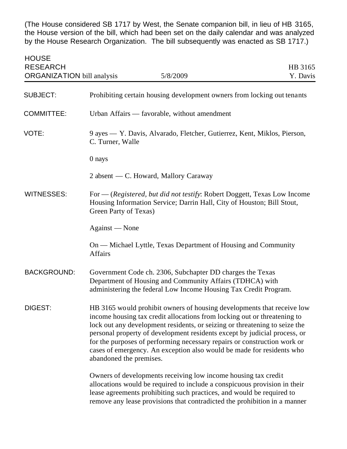(The House considered SB 1717 by West, the Senate companion bill, in lieu of HB 3165, the House version of the bill, which had been set on the daily calendar and was analyzed by the House Research Organization. The bill subsequently was enacted as SB 1717.)

| <b>HOUSE</b><br><b>RESEARCH</b><br><b>ORGANIZATION</b> bill analysis<br>5/8/2009 |                                                                                                                                                                                                                                                                                                                                                                                                                                                                                               | HB 3165<br>Y. Davis |
|----------------------------------------------------------------------------------|-----------------------------------------------------------------------------------------------------------------------------------------------------------------------------------------------------------------------------------------------------------------------------------------------------------------------------------------------------------------------------------------------------------------------------------------------------------------------------------------------|---------------------|
| <b>SUBJECT:</b>                                                                  | Prohibiting certain housing development owners from locking out tenants                                                                                                                                                                                                                                                                                                                                                                                                                       |                     |
| <b>COMMITTEE:</b>                                                                | Urban Affairs — favorable, without amendment                                                                                                                                                                                                                                                                                                                                                                                                                                                  |                     |
| VOTE:                                                                            | 9 ayes — Y. Davis, Alvarado, Fletcher, Gutierrez, Kent, Miklos, Pierson,<br>C. Turner, Walle                                                                                                                                                                                                                                                                                                                                                                                                  |                     |
|                                                                                  | 0 nays                                                                                                                                                                                                                                                                                                                                                                                                                                                                                        |                     |
|                                                                                  | 2 absent — C. Howard, Mallory Caraway                                                                                                                                                                                                                                                                                                                                                                                                                                                         |                     |
| <b>WITNESSES:</b>                                                                | For — (Registered, but did not testify: Robert Doggett, Texas Low Income<br>Housing Information Service; Darrin Hall, City of Houston; Bill Stout,<br>Green Party of Texas)                                                                                                                                                                                                                                                                                                                   |                     |
|                                                                                  | Against — None                                                                                                                                                                                                                                                                                                                                                                                                                                                                                |                     |
|                                                                                  | On — Michael Lyttle, Texas Department of Housing and Community<br><b>Affairs</b>                                                                                                                                                                                                                                                                                                                                                                                                              |                     |
| <b>BACKGROUND:</b>                                                               | Government Code ch. 2306, Subchapter DD charges the Texas<br>Department of Housing and Community Affairs (TDHCA) with<br>administering the federal Low Income Housing Tax Credit Program.                                                                                                                                                                                                                                                                                                     |                     |
| DIGEST:                                                                          | HB 3165 would prohibit owners of housing developments that receive low<br>income housing tax credit allocations from locking out or threatening to<br>lock out any development residents, or seizing or threatening to seize the<br>personal property of development residents except by judicial process, or<br>for the purposes of performing necessary repairs or construction work or<br>cases of emergency. An exception also would be made for residents who<br>abandoned the premises. |                     |
|                                                                                  | Owners of developments receiving low income housing tax credit<br>allocations would be required to include a conspicuous provision in their<br>lease agreements prohibiting such practices, and would be required to<br>remove any lease provisions that contradicted the prohibition in a manner                                                                                                                                                                                             |                     |